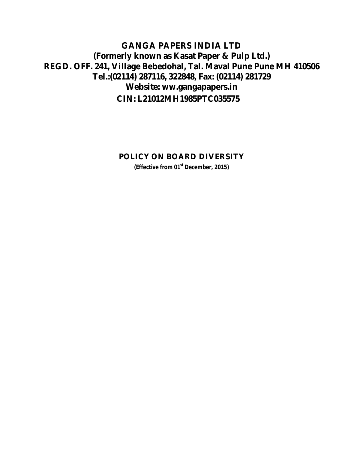### **GANGA PAPERS INDIA LTD (Formerly known as Kasat Paper & Pulp Ltd.) REGD. OFF. 241, Village Bebedohal, Tal. Maval Pune Pune MH 410506 Tel.:(02114) 287116, 322848, Fax: (02114) 281729 Website: ww.gangapapers.in CIN: L21012MH1985PTC035575**

#### **POLICY ON BOARD DIVERSITY**

**(Effective from 01st December, 2015)**